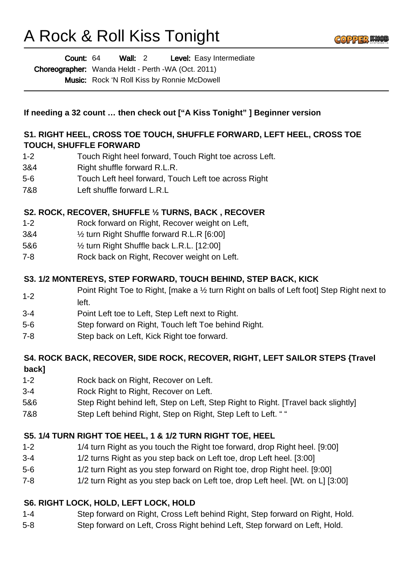# A Rock & Roll Kiss Tonight

Wall: 2 Level: Easy Intermediate Count: 64

Choreographer: Wanda Heldt - Perth -WA (Oct. 2011) Music: Rock 'N Roll Kiss by Ronnie McDowell

**If needing a 32 count … then check out ["A Kiss Tonight" ] Beginner version**

## **S1. RIGHT HEEL, CROSS TOE TOUCH, SHUFFLE FORWARD, LEFT HEEL, CROSS TOE TOUCH, SHUFFLE FORWARD**

- 1-2 Touch Right heel forward, Touch Right toe across Left.
- 3&4 Right shuffle forward R.L.R.
- 5-6 Touch Left heel forward, Touch Left toe across Right
- 7&8 Left shuffle forward L.R.L

## **S2. ROCK, RECOVER, SHUFFLE ½ TURNS, BACK , RECOVER**

- 1-2 Rock forward on Right, Recover weight on Left,
- 3&4 ½ turn Right Shuffle forward R.L.R [6:00]
- 5&6 ½ turn Right Shuffle back L.R.L. [12:00]
- 7-8 Rock back on Right, Recover weight on Left.

## **S3. 1/2 MONTEREYS, STEP FORWARD, TOUCH BEHIND, STEP BACK, KICK**

- 1-2 Point Right Toe to Right, [make a ½ turn Right on balls of Left foot] Step Right next to left.
- 3-4 Point Left toe to Left, Step Left next to Right.
- 5-6 Step forward on Right, Touch left Toe behind Right.
- 7-8 Step back on Left, Kick Right toe forward.

#### **S4. ROCK BACK, RECOVER, SIDE ROCK, RECOVER, RIGHT, LEFT SAILOR STEPS {Travel back]**

- 1-2 Rock back on Right, Recover on Left.
- 3-4 Rock Right to Right, Recover on Left.
- 5&6 Step Right behind left, Step on Left, Step Right to Right. [Travel back slightly]
- 7&8 Step Left behind Right, Step on Right, Step Left to Left. " "

## **S5. 1/4 TURN RIGHT TOE HEEL, 1 & 1/2 TURN RIGHT TOE, HEEL**

- 1-2 1/4 turn Right as you touch the Right toe forward, drop Right heel. [9:00]
- 3-4 1/2 turns Right as you step back on Left toe, drop Left heel. [3:00]
- 5-6 1/2 turn Right as you step forward on Right toe, drop Right heel. [9:00]
- 7-8 1/2 turn Right as you step back on Left toe, drop Left heel. [Wt. on L] [3:00]

## **S6. RIGHT LOCK, HOLD, LEFT LOCK, HOLD**

- 1-4 Step forward on Right, Cross Left behind Right, Step forward on Right, Hold.
- 5-8 Step forward on Left, Cross Right behind Left, Step forward on Left, Hold.